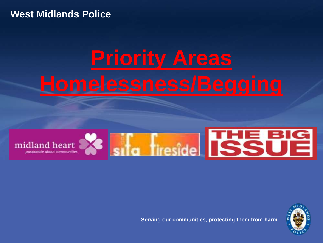#### **West Midlands Police**

# **Priority Areas**





**Serving our communities, protecting them from harm**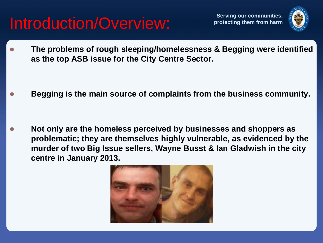#### Introduction/Overview: **Introduction/Overview:**

**Serving our communities,** 



 **The problems of rough sleeping/homelessness & Begging were identified as the top ASB issue for the City Centre Sector.**

**Begging is the main source of complaints from the business community.**

 **Not only are the homeless perceived by businesses and shoppers as problematic; they are themselves highly vulnerable, as evidenced by the murder of two Big Issue sellers, Wayne Busst & Ian Gladwish in the city centre in January 2013.**

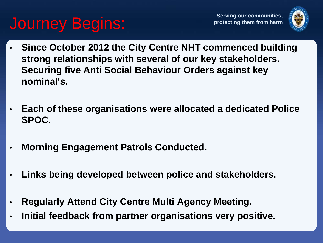#### **Journey Begins:** For the protecting them from harm



- **Since October 2012 the City Centre NHT commenced building strong relationships with several of our key stakeholders. Securing five Anti Social Behaviour Orders against key nominal's.**
- **Each of these organisations were allocated a dedicated Police SPOC.**
- **Morning Engagement Patrols Conducted.**
- **Links being developed between police and stakeholders.**
- **Regularly Attend City Centre Multi Agency Meeting.**
- **Initial feedback from partner organisations very positive.**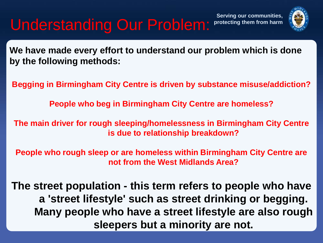### **Understanding Our Problem:**

**Serving our communities,** 



**We have made every effort to understand our problem which is done by the following methods:**

**Begging in Birmingham City Centre is driven by substance misuse/addiction?**

**People who beg in Birmingham City Centre are homeless?**

**The main driver for rough sleeping/homelessness in Birmingham City Centre is due to relationship breakdown?**

**People who rough sleep or are homeless within Birmingham City Centre are not from the West Midlands Area?**

**The street population - this term refers to people who have a 'street lifestyle' such as street drinking or begging. Many people who have a street lifestyle are also rough sleepers but a minority are not.**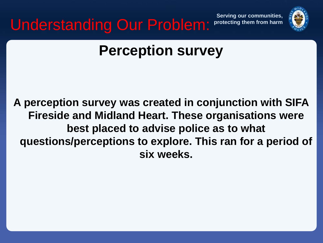**Understanding Our Problem: Protecting them from harm** 





#### **Perception survey**

**A perception survey was created in conjunction with SIFA Fireside and Midland Heart. These organisations were best placed to advise police as to what questions/perceptions to explore. This ran for a period of six weeks.**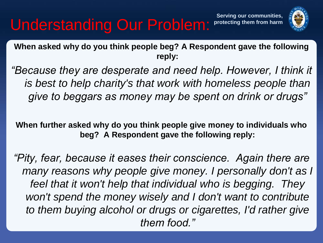#### **Understanding Our Problem:**



**When asked why do you think people beg? A Respondent gave the following reply:**

*"Because they are desperate and need help. However, I think it is best to help charity's that work with homeless people than give to beggars as money may be spent on drink or drugs"*

**When further asked why do you think people give money to individuals who beg? A Respondent gave the following reply:**

*"Pity, fear, because it eases their conscience. Again there are many reasons why people give money. I personally don't as I feel that it won't help that individual who is begging. They won't spend the money wisely and I don't want to contribute to them buying alcohol or drugs or cigarettes, I'd rather give them food."*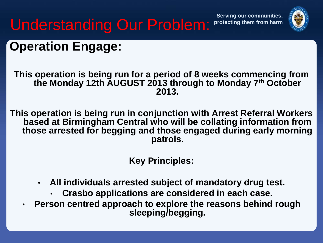**Serving our communities,** 



### **Understanding Our Problem:**

#### **Operation Engage:**

**This operation is being run for a period of 8 weeks commencing from the Monday 12th AUGUST 2013 through to Monday 7th October 2013.**

**This operation is being run in conjunction with Arrest Referral Workers based at Birmingham Central who will be collating information from those arrested for begging and those engaged during early morning patrols.**

**Key Principles:**

- **All individuals arrested subject of mandatory drug test.**
	- **Crasbo applications are considered in each case.**
- **Person centred approach to explore the reasons behind rough sleeping/begging.**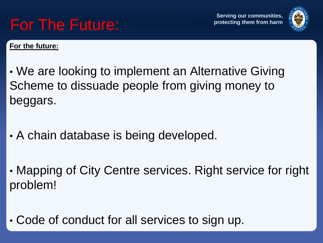

**For the future:**

Ì

• We are looking to implement an Alternative Giving Scheme to dissuade people from giving money to beggars.

- A chain database is being developed.
- Mapping of City Centre services. Right service for right problem!
- Code of conduct for all services to sign up.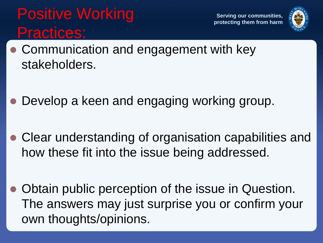#### **Positive Working Serving our communities,** Practices:



- Communication and engagement with key stakeholders.
- Develop a keen and engaging working group.
- Clear understanding of organisation capabilities and how these fit into the issue being addressed.
- Obtain public perception of the issue in Question. The answers may just surprise you or confirm your own thoughts/opinions.